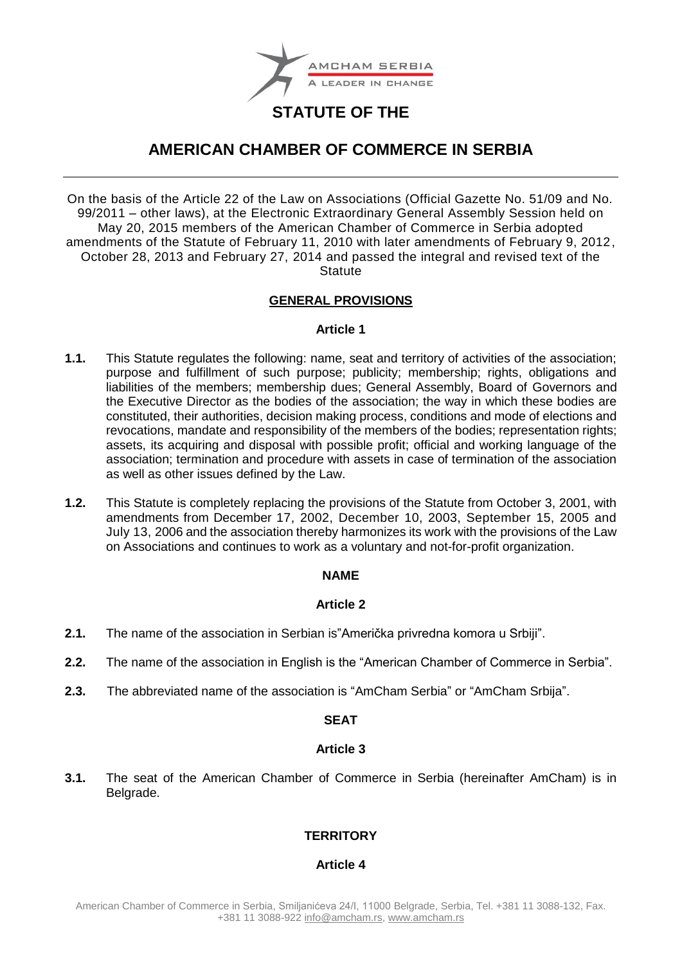

# **STATUTE OF THE**

# **AMERICAN CHAMBER OF COMMERCE IN SERBIA**

On the basis of the Article 22 of the Law on Associations (Official Gazette No. 51/09 and No. 99/2011 – other laws), at the Electronic Extraordinary General Assembly Session held on May 20, 2015 members of the American Chamber of Commerce in Serbia adopted amendments of the Statute of February 11, 2010 with later amendments of February 9, 2012, October 28, 2013 and February 27, 2014 and passed the integral and revised text of the **Statute** 

## **GENERAL PROVISIONS**

## **Article 1**

- **1.1.** This Statute regulates the following: name, seat and territory of activities of the association; purpose and fulfillment of such purpose; publicity; membership; rights, obligations and liabilities of the members; membership dues; General Assembly, Board of Governors and the Executive Director as the bodies of the association; the way in which these bodies are constituted, their authorities, decision making process, conditions and mode of elections and revocations, mandate and responsibility of the members of the bodies; representation rights; assets, its acquiring and disposal with possible profit; official and working language of the association; termination and procedure with assets in case of termination of the association as well as other issues defined by the Law.
- **1.2.** This Statute is completely replacing the provisions of the Statute from October 3, 2001, with amendments from December 17, 2002, December 10, 2003, September 15, 2005 and July 13, 2006 and the association thereby harmonizes its work with the provisions of the Law on Associations and continues to work as a voluntary and not-for-profit organization.

## **NAME**

## **Article 2**

- **2.1.** The name of the association in Serbian is"Američka privredna komora u Srbiji".
- **2.2.** The name of the association in English is the "American Chamber of Commerce in Serbia".
- **2.3.** The abbreviated name of the association is "AmCham Serbia" or "AmCham Srbija".

## **SEAT**

## **Article 3**

**3.1.** The seat of the American Chamber of Commerce in Serbia (hereinafter AmCham) is in Belgrade.

## **TERRITORY**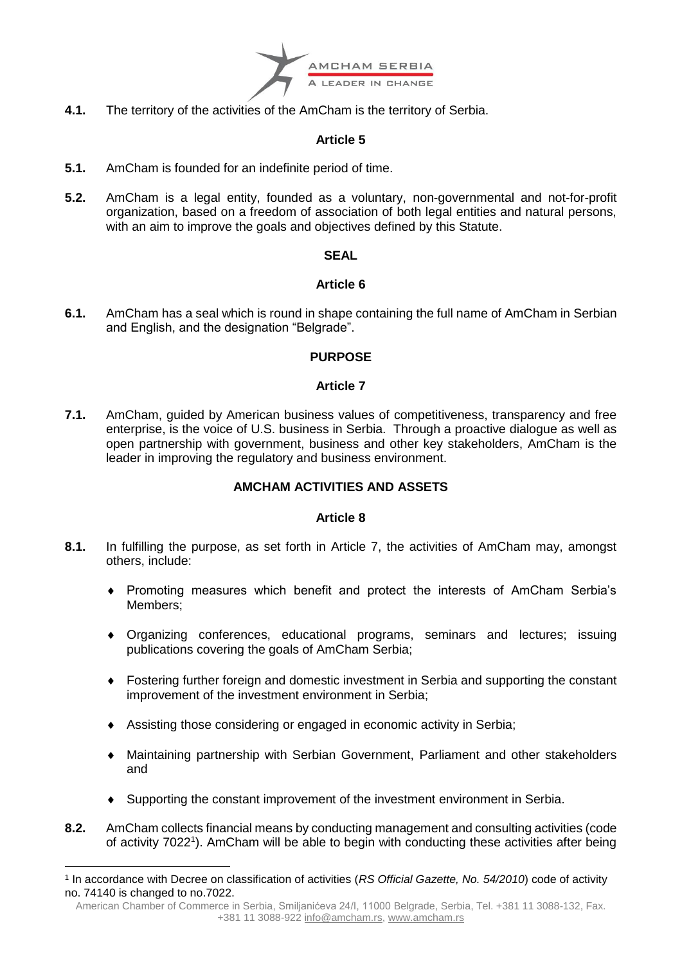

**4.1.** The territory of the activities of the AmCham is the territory of Serbia.

## **Article 5**

- **5.1.** AmCham is founded for an indefinite period of time.
- **5.2.** AmCham is a legal entity, founded as a voluntary, non-governmental and not-for-profit organization, based on a freedom of association of both legal entities and natural persons, with an aim to improve the goals and objectives defined by this Statute.

## **SEAL**

## **Article 6**

**6.1.** AmCham has a seal which is round in shape containing the full name of AmCham in Serbian and English, and the designation "Belgrade".

## **PURPOSE**

## **Article 7**

**7.1.** AmCham, guided by American business values of competitiveness, transparency and free enterprise, is the voice of U.S. business in Serbia. Through a proactive dialogue as well as open partnership with government, business and other key stakeholders, AmCham is the leader in improving the regulatory and business environment.

## **AMCHAM ACTIVITIES AND ASSETS**

- **8.1.** In fulfilling the purpose, as set forth in Article 7, the activities of AmCham may, amongst others, include:
	- Promoting measures which benefit and protect the interests of AmCham Serbia's Members;
	- Organizing conferences, educational programs, seminars and lectures; issuing publications covering the goals of AmCham Serbia;
	- Fostering further foreign and domestic investment in Serbia and supporting the constant improvement of the investment environment in Serbia;
	- Assisting those considering or engaged in economic activity in Serbia;
	- Maintaining partnership with Serbian Government, Parliament and other stakeholders and
	- Supporting the constant improvement of the investment environment in Serbia.
- **8.2.** AmCham collects financial means by conducting management and consulting activities (code of activity 7022<sup>1</sup>). AmCham will be able to begin with conducting these activities after being

<sup>&</sup>lt;u>.</u> 1 In accordance with Decree on classification of activities (*RS Official Gazette, No. 54/2010*) code of activity no. 74140 is changed to no.7022.

American Chamber of Commerce in Serbia, Smiljanićeva 24/I, 11000 Belgrade, Serbia, Tel. +381 11 3088-132, Fax. +381 11 3088-922 [info@amcham.rs,](mailto:info@amcham.rs) [www.amcham.rs](http://www.amcham.rs/)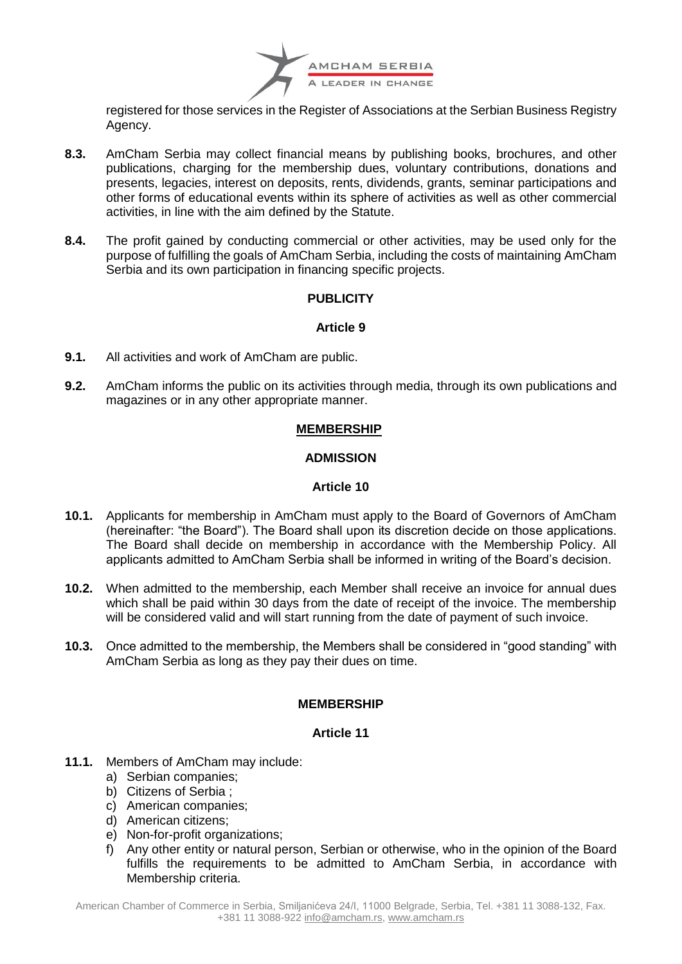

registered for those services in the Register of Associations at the Serbian Business Registry Agency.

- **8.3.** AmCham Serbia may collect financial means by publishing books, brochures, and other publications, charging for the membership dues, voluntary contributions, donations and presents, legacies, interest on deposits, rents, dividends, grants, seminar participations and other forms of educational events within its sphere of activities as well as other commercial activities, in line with the aim defined by the Statute.
- **8.4.** The profit gained by conducting commercial or other activities, may be used only for the purpose of fulfilling the goals of AmCham Serbia, including the costs of maintaining AmCham Serbia and its own participation in financing specific projects.

## **PUBLICITY**

## **Article 9**

- **9.1.** All activities and work of AmCham are public.
- **9.2.** AmCham informs the public on its activities through media, through its own publications and magazines or in any other appropriate manner.

## **MEMBERSHIP**

## **ADMISSION**

## **Article 10**

- **10.1.** Applicants for membership in AmCham must apply to the Board of Governors of AmCham (hereinafter: "the Board"). The Board shall upon its discretion decide on those applications. The Board shall decide on membership in accordance with the Membership Policy. All applicants admitted to AmCham Serbia shall be informed in writing of the Board's decision.
- **10.2.** When admitted to the membership, each Member shall receive an invoice for annual dues which shall be paid within 30 days from the date of receipt of the invoice. The membership will be considered valid and will start running from the date of payment of such invoice.
- **10.3.** Once admitted to the membership, the Members shall be considered in "good standing" with AmCham Serbia as long as they pay their dues on time.

## **MEMBERSHIP**

- **11.1.** Members of AmCham may include:
	- a) Serbian companies;
	- b) Citizens of Serbia ;
	- c) American companies;
	- d) American citizens;
	- e) Non-for-profit organizations;
	- f) Any other entity or natural person, Serbian or otherwise, who in the opinion of the Board fulfills the requirements to be admitted to AmCham Serbia, in accordance with Membership criteria.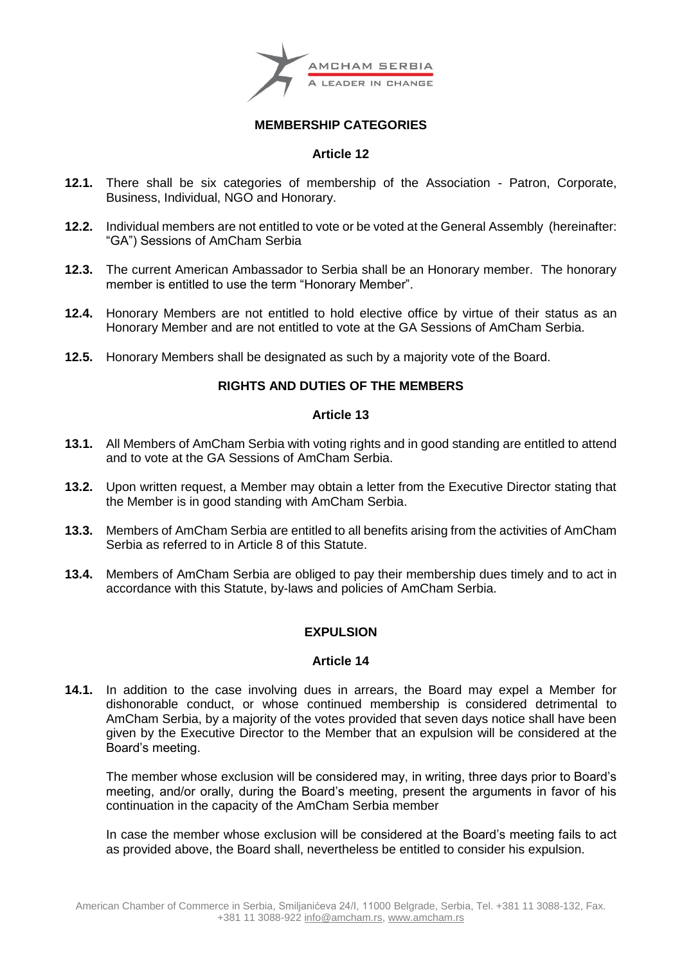

## **MEMBERSHIP CATEGORIES**

## **Article 12**

- **12.1.** There shall be six categories of membership of the Association Patron, Corporate, Business, Individual, NGO and Honorary.
- **12.2.** Individual members are not entitled to vote or be voted at the General Assembly (hereinafter: "GA") Sessions of AmCham Serbia
- **12.3.** The current American Ambassador to Serbia shall be an Honorary member. The honorary member is entitled to use the term "Honorary Member".
- **12.4.** Honorary Members are not entitled to hold elective office by virtue of their status as an Honorary Member and are not entitled to vote at the GA Sessions of AmCham Serbia.
- **12.5.** Honorary Members shall be designated as such by a majority vote of the Board.

## **RIGHTS AND DUTIES OF THE MEMBERS**

## **Article 13**

- **13.1.** All Members of AmCham Serbia with voting rights and in good standing are entitled to attend and to vote at the GA Sessions of AmCham Serbia.
- **13.2.** Upon written request, a Member may obtain a letter from the Executive Director stating that the Member is in good standing with AmCham Serbia.
- **13.3.** Members of AmCham Serbia are entitled to all benefits arising from the activities of AmCham Serbia as referred to in Article 8 of this Statute.
- **13.4.** Members of AmCham Serbia are obliged to pay their membership dues timely and to act in accordance with this Statute, by-laws and policies of AmCham Serbia.

## **EXPULSION**

## **Article 14**

**14.1.** In addition to the case involving dues in arrears, the Board may expel a Member for dishonorable conduct, or whose continued membership is considered detrimental to AmCham Serbia, by a majority of the votes provided that seven days notice shall have been given by the Executive Director to the Member that an expulsion will be considered at the Board's meeting.

The member whose exclusion will be considered may, in writing, three days prior to Board's meeting, and/or orally, during the Board's meeting, present the arguments in favor of his continuation in the capacity of the AmCham Serbia member

In case the member whose exclusion will be considered at the Board's meeting fails to act as provided above, the Board shall, nevertheless be entitled to consider his expulsion.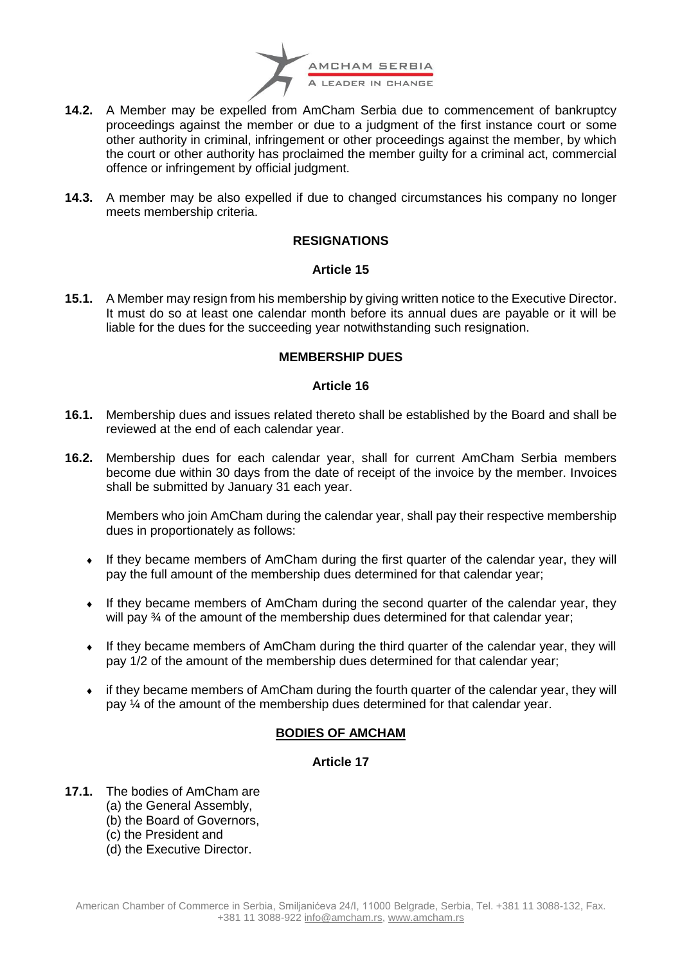

- **14.2.** A Member may be expelled from AmCham Serbia due to commencement of bankruptcy proceedings against the member or due to a judgment of the first instance court or some other authority in criminal, infringement or other proceedings against the member, by which the court or other authority has proclaimed the member guilty for a criminal act, commercial offence or infringement by official judgment.
- **14.3.** A member may be also expelled if due to changed circumstances his company no longer meets membership criteria.

## **RESIGNATIONS**

## **Article 15**

**15.1.** A Member may resign from his membership by giving written notice to the Executive Director. It must do so at least one calendar month before its annual dues are payable or it will be liable for the dues for the succeeding year notwithstanding such resignation.

## **MEMBERSHIP DUES**

## **Article 16**

- **16.1.** Membership dues and issues related thereto shall be established by the Board and shall be reviewed at the end of each calendar year.
- **16.2.** Membership dues for each calendar year, shall for current AmCham Serbia members become due within 30 days from the date of receipt of the invoice by the member. Invoices shall be submitted by January 31 each year.

Members who join AmCham during the calendar year, shall pay their respective membership dues in proportionately as follows:

- If they became members of AmCham during the first quarter of the calendar year, they will pay the full amount of the membership dues determined for that calendar year;
- If they became members of AmCham during the second quarter of the calendar year, they will pay  $\frac{3}{4}$  of the amount of the membership dues determined for that calendar year;
- If they became members of AmCham during the third quarter of the calendar year, they will pay 1/2 of the amount of the membership dues determined for that calendar year;
- if they became members of AmCham during the fourth quarter of the calendar year, they will pay ¼ of the amount of the membership dues determined for that calendar year.

## **BODIES OF AMCHAM**

- **17.1.** The bodies of AmCham are
	- (a) the General Assembly,
	- (b) the Board of Governors,
	- (c) the President and
	- (d) the Executive Director.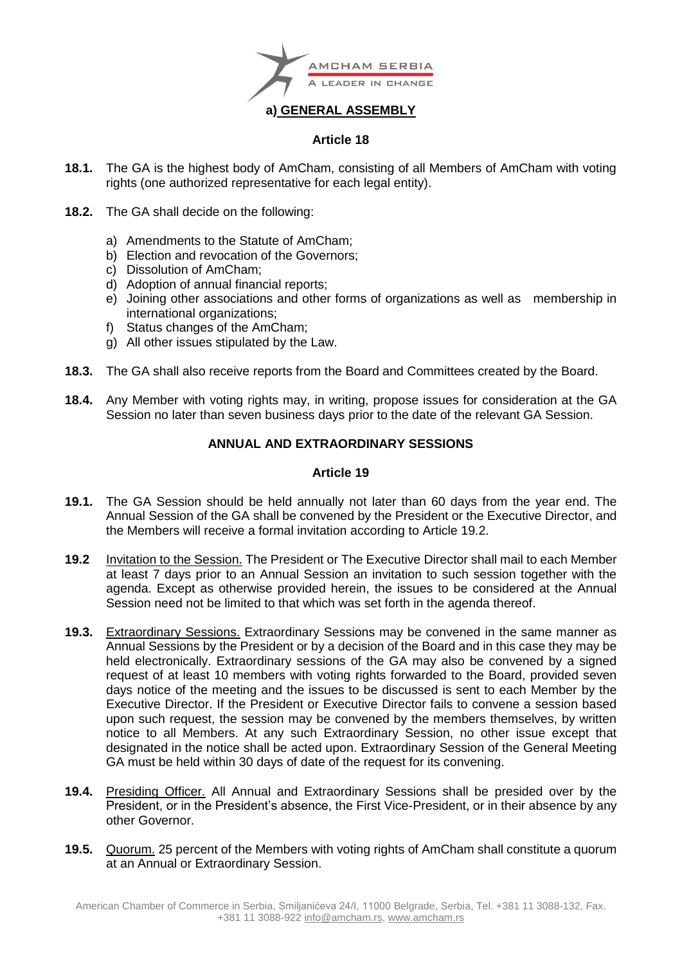

## **Article 18**

- **18.1.** The GA is the highest body of AmCham, consisting of all Members of AmCham with voting rights (one authorized representative for each legal entity).
- **18.2.** The GA shall decide on the following:
	- a) Amendments to the Statute of AmCham;
	- b) Election and revocation of the Governors;
	- c) Dissolution of AmCham;
	- d) Adoption of annual financial reports;
	- e) Joining other associations and other forms of organizations as well as membership in international organizations;
	- f) Status changes of the AmCham;
	- g) All other issues stipulated by the Law.
- **18.3.** The GA shall also receive reports from the Board and Committees created by the Board.
- **18.4.** Any Member with voting rights may, in writing, propose issues for consideration at the GA Session no later than seven business days prior to the date of the relevant GA Session.

## **ANNUAL AND EXTRAORDINARY SESSIONS**

- **19.1.** The GA Session should be held annually not later than 60 days from the year end. The Annual Session of the GA shall be convened by the President or the Executive Director, and the Members will receive a formal invitation according to Article 19.2.
- **19.2** Invitation to the Session. The President or The Executive Director shall mail to each Member at least 7 days prior to an Annual Session an invitation to such session together with the agenda. Except as otherwise provided herein, the issues to be considered at the Annual Session need not be limited to that which was set forth in the agenda thereof.
- **19.3.** Extraordinary Sessions. Extraordinary Sessions may be convened in the same manner as Annual Sessions by the President or by a decision of the Board and in this case they may be held electronically. Extraordinary sessions of the GA may also be convened by a signed request of at least 10 members with voting rights forwarded to the Board, provided seven days notice of the meeting and the issues to be discussed is sent to each Member by the Executive Director. If the President or Executive Director fails to convene a session based upon such request, the session may be convened by the members themselves, by written notice to all Members. At any such Extraordinary Session, no other issue except that designated in the notice shall be acted upon. Extraordinary Session of the General Meeting GA must be held within 30 days of date of the request for its convening.
- **19.4.** Presiding Officer. All Annual and Extraordinary Sessions shall be presided over by the President, or in the President's absence, the First Vice-President, or in their absence by any other Governor.
- **19.5.** Quorum. 25 percent of the Members with voting rights of AmCham shall constitute a quorum at an Annual or Extraordinary Session.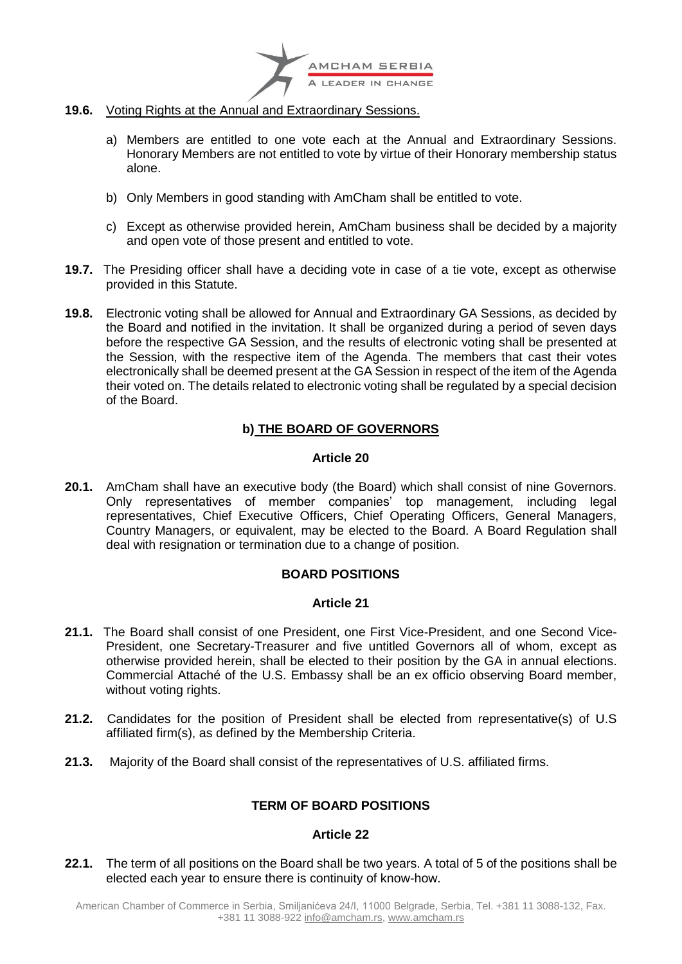

- **19.6.** Voting Rights at the Annual and Extraordinary Sessions.
	- a) Members are entitled to one vote each at the Annual and Extraordinary Sessions. Honorary Members are not entitled to vote by virtue of their Honorary membership status alone.
	- b) Only Members in good standing with AmCham shall be entitled to vote.
	- c) Except as otherwise provided herein, AmCham business shall be decided by a majority and open vote of those present and entitled to vote.
- **19.7.** The Presiding officer shall have a deciding vote in case of a tie vote, except as otherwise provided in this Statute.
- **19.8.** Electronic voting shall be allowed for Annual and Extraordinary GA Sessions, as decided by the Board and notified in the invitation. It shall be organized during a period of seven days before the respective GA Session, and the results of electronic voting shall be presented at the Session, with the respective item of the Agenda. The members that cast their votes electronically shall be deemed present at the GA Session in respect of the item of the Agenda their voted on. The details related to electronic voting shall be regulated by a special decision of the Board.

## **b) THE BOARD OF GOVERNORS**

## **Article 20**

**20.1.** AmCham shall have an executive body (the Board) which shall consist of nine Governors. Only representatives of member companies' top management, including legal representatives, Chief Executive Officers, Chief Operating Officers, General Managers, Country Managers, or equivalent, may be elected to the Board. A Board Regulation shall deal with resignation or termination due to a change of position.

## **BOARD POSITIONS**

## **Article 21**

- **21.1.** The Board shall consist of one President, one First Vice-President, and one Second Vice-President, one Secretary-Treasurer and five untitled Governors all of whom, except as otherwise provided herein, shall be elected to their position by the GA in annual elections. Commercial Attaché of the U.S. Embassy shall be an ex officio observing Board member, without voting rights.
- **21.2.** Candidates for the position of President shall be elected from representative(s) of U.S affiliated firm(s), as defined by the Membership Criteria.
- **21.3.** Majority of the Board shall consist of the representatives of U.S. affiliated firms.

## **TERM OF BOARD POSITIONS**

## **Article 22**

**22.1.** The term of all positions on the Board shall be two years. A total of 5 of the positions shall be elected each year to ensure there is continuity of know-how.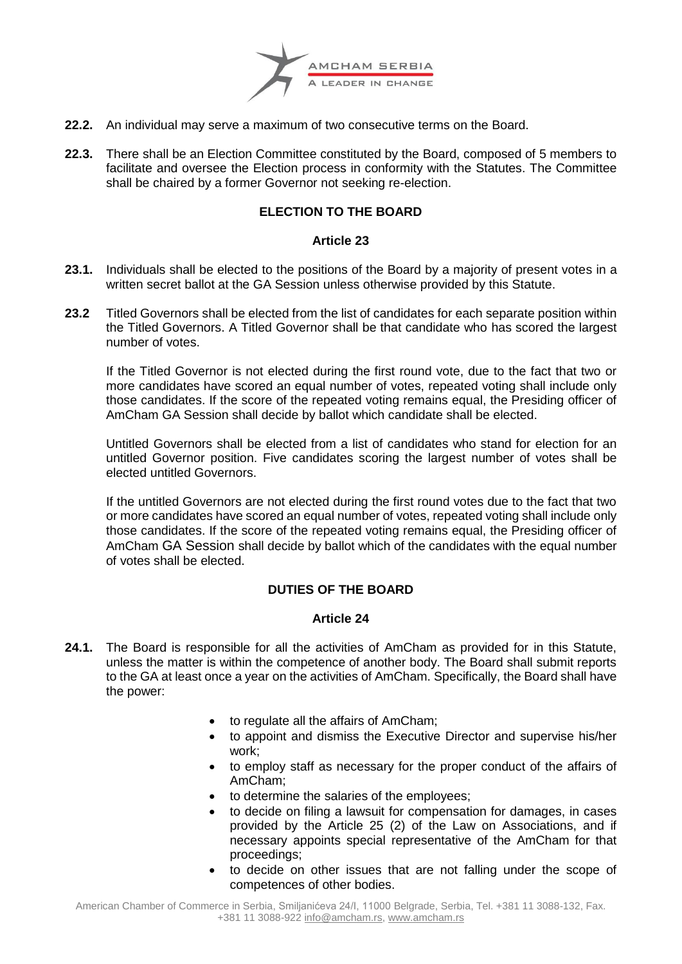

- **22.2.** An individual may serve a maximum of two consecutive terms on the Board.
- **22.3.** There shall be an Election Committee constituted by the Board, composed of 5 members to facilitate and oversee the Election process in conformity with the Statutes. The Committee shall be chaired by a former Governor not seeking re-election.

## **ELECTION TO THE BOARD**

## **Article 23**

- **23.1.** Individuals shall be elected to the positions of the Board by a majority of present votes in a written secret ballot at the GA Session unless otherwise provided by this Statute.
- **23.2** Titled Governors shall be elected from the list of candidates for each separate position within the Titled Governors. A Titled Governor shall be that candidate who has scored the largest number of votes.

If the Titled Governor is not elected during the first round vote, due to the fact that two or more candidates have scored an equal number of votes, repeated voting shall include only those candidates. If the score of the repeated voting remains equal, the Presiding officer of AmCham GA Session shall decide by ballot which candidate shall be elected.

Untitled Governors shall be elected from a list of candidates who stand for election for an untitled Governor position. Five candidates scoring the largest number of votes shall be elected untitled Governors.

If the untitled Governors are not elected during the first round votes due to the fact that two or more candidates have scored an equal number of votes, repeated voting shall include only those candidates. If the score of the repeated voting remains equal, the Presiding officer of AmCham GA Session shall decide by ballot which of the candidates with the equal number of votes shall be elected.

## **DUTIES OF THE BOARD**

- **24.1.** The Board is responsible for all the activities of AmCham as provided for in this Statute, unless the matter is within the competence of another body. The Board shall submit reports to the GA at least once a year on the activities of AmCham. Specifically, the Board shall have the power:
	- to regulate all the affairs of AmCham;
	- to appoint and dismiss the Executive Director and supervise his/her work;
	- to employ staff as necessary for the proper conduct of the affairs of AmCham;
	- to determine the salaries of the employees;
	- to decide on filing a lawsuit for compensation for damages, in cases provided by the Article 25 (2) of the Law on Associations, and if necessary appoints special representative of the AmCham for that proceedings;
	- to decide on other issues that are not falling under the scope of competences of other bodies.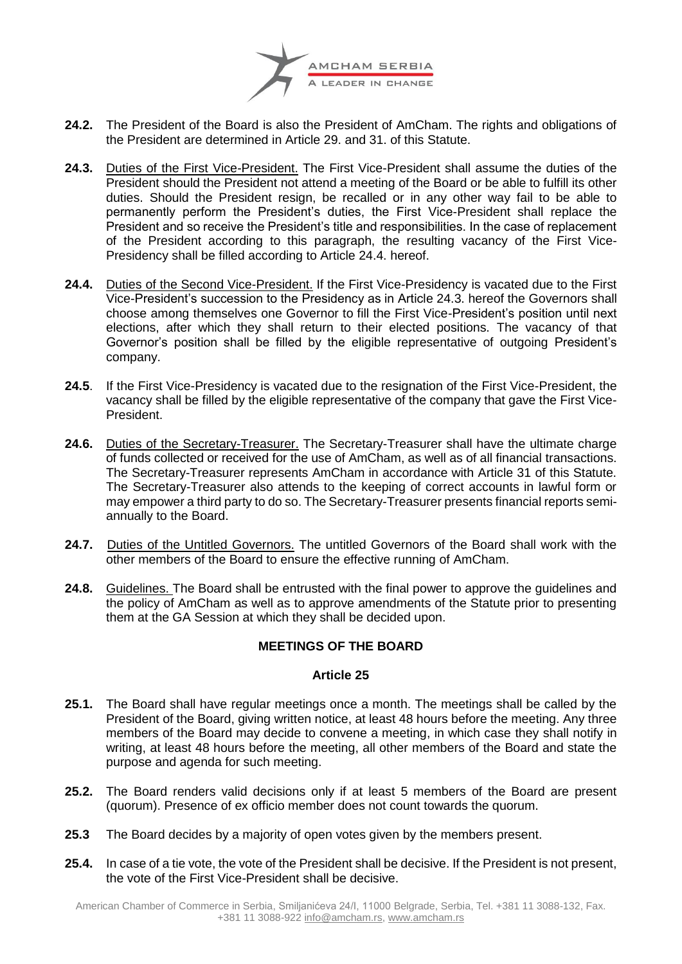

- **24.2.** The President of the Board is also the President of AmCham. The rights and obligations of the President are determined in Article 29. and 31. of this Statute.
- **24.3.** Duties of the First Vice-President. The First Vice-President shall assume the duties of the President should the President not attend a meeting of the Board or be able to fulfill its other duties. Should the President resign, be recalled or in any other way fail to be able to permanently perform the President's duties, the First Vice-President shall replace the President and so receive the President's title and responsibilities. In the case of replacement of the President according to this paragraph, the resulting vacancy of the First Vice-Presidency shall be filled according to Article 24.4. hereof.
- **24.4.** Duties of the Second Vice-President. If the First Vice-Presidency is vacated due to the First Vice-President's succession to the Presidency as in Article 24.3. hereof the Governors shall choose among themselves one Governor to fill the First Vice-President's position until next elections, after which they shall return to their elected positions. The vacancy of that Governor's position shall be filled by the eligible representative of outgoing President's company.
- **24.5**. If the First Vice-Presidency is vacated due to the resignation of the First Vice-President, the vacancy shall be filled by the eligible representative of the company that gave the First Vice-President.
- **24.6.** Duties of the Secretary-Treasurer. The Secretary-Treasurer shall have the ultimate charge of funds collected or received for the use of AmCham, as well as of all financial transactions. The Secretary-Treasurer represents AmCham in accordance with Article 31 of this Statute. The Secretary-Treasurer also attends to the keeping of correct accounts in lawful form or may empower a third party to do so. The Secretary-Treasurer presents financial reports semiannually to the Board.
- **24.7.** Duties of the Untitled Governors. The untitled Governors of the Board shall work with the other members of the Board to ensure the effective running of AmCham.
- **24.8.** Guidelines. The Board shall be entrusted with the final power to approve the guidelines and the policy of AmCham as well as to approve amendments of the Statute prior to presenting them at the GA Session at which they shall be decided upon.

## **MEETINGS OF THE BOARD**

- **25.1.** The Board shall have regular meetings once a month. The meetings shall be called by the President of the Board, giving written notice, at least 48 hours before the meeting. Any three members of the Board may decide to convene a meeting, in which case they shall notify in writing, at least 48 hours before the meeting, all other members of the Board and state the purpose and agenda for such meeting.
- **25.2.** The Board renders valid decisions only if at least 5 members of the Board are present (quorum). Presence of ex officio member does not count towards the quorum.
- **25.3** The Board decides by a majority of open votes given by the members present.
- **25.4.** In case of a tie vote, the vote of the President shall be decisive. If the President is not present, the vote of the First Vice-President shall be decisive.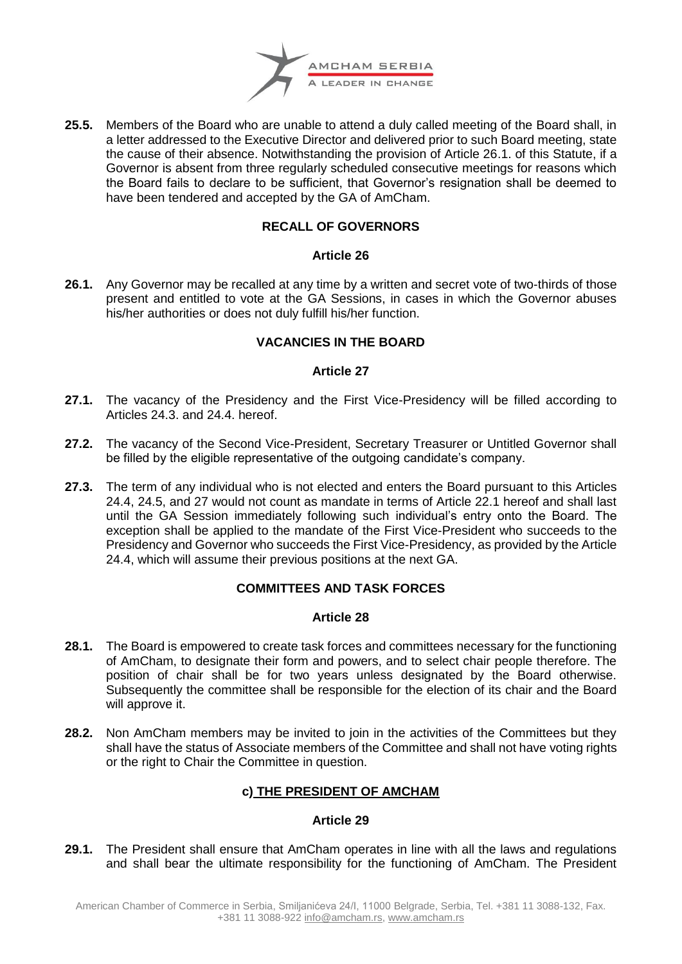

**25.5.** Members of the Board who are unable to attend a duly called meeting of the Board shall, in a letter addressed to the Executive Director and delivered prior to such Board meeting, state the cause of their absence. Notwithstanding the provision of Article 26.1. of this Statute, if a Governor is absent from three regularly scheduled consecutive meetings for reasons which the Board fails to declare to be sufficient, that Governor's resignation shall be deemed to have been tendered and accepted by the GA of AmCham.

## **RECALL OF GOVERNORS**

## **Article 26**

**26.1.** Any Governor may be recalled at any time by a written and secret vote of two-thirds of those present and entitled to vote at the GA Sessions, in cases in which the Governor abuses his/her authorities or does not duly fulfill his/her function.

## **VACANCIES IN THE BOARD**

## **Article 27**

- **27.1.** The vacancy of the Presidency and the First Vice-Presidency will be filled according to Articles 24.3. and 24.4. hereof.
- **27.2.** The vacancy of the Second Vice-President, Secretary Treasurer or Untitled Governor shall be filled by the eligible representative of the outgoing candidate's company.
- **27.3.** The term of any individual who is not elected and enters the Board pursuant to this Articles 24.4, 24.5, and 27 would not count as mandate in terms of Article 22.1 hereof and shall last until the GA Session immediately following such individual's entry onto the Board. The exception shall be applied to the mandate of the First Vice-President who succeeds to the Presidency and Governor who succeeds the First Vice-Presidency, as provided by the Article 24.4, which will assume their previous positions at the next GA.

## **COMMITTEES AND TASK FORCES**

## **Article 28**

- **28.1.** The Board is empowered to create task forces and committees necessary for the functioning of AmCham, to designate their form and powers, and to select chair people therefore. The position of chair shall be for two years unless designated by the Board otherwise. Subsequently the committee shall be responsible for the election of its chair and the Board will approve it.
- **28.2.** Non AmCham members may be invited to join in the activities of the Committees but they shall have the status of Associate members of the Committee and shall not have voting rights or the right to Chair the Committee in question.

## **c) THE PRESIDENT OF AMCHAM**

## **Article 29**

**29.1.** The President shall ensure that AmCham operates in line with all the laws and regulations and shall bear the ultimate responsibility for the functioning of AmCham. The President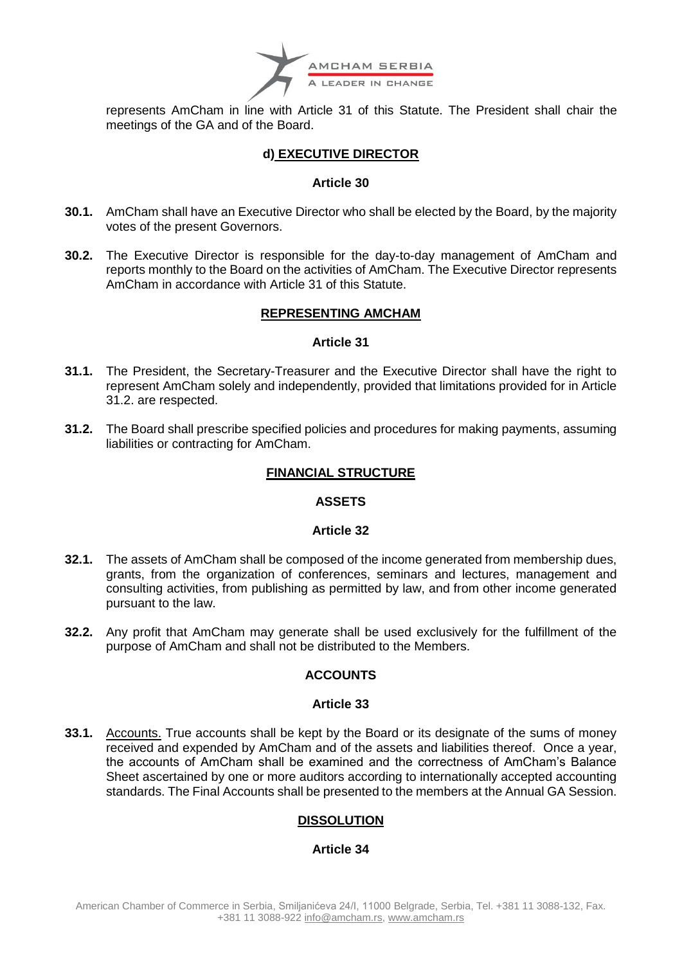

represents AmCham in line with Article 31 of this Statute. The President shall chair the meetings of the GA and of the Board.

## **d) EXECUTIVE DIRECTOR**

#### **Article 30**

- **30.1.** AmCham shall have an Executive Director who shall be elected by the Board, by the majority votes of the present Governors.
- **30.2.** The Executive Director is responsible for the day-to-day management of AmCham and reports monthly to the Board on the activities of AmCham. The Executive Director represents AmCham in accordance with Article 31 of this Statute.

## **REPRESENTING AMCHAM**

## **Article 31**

- **31.1.** The President, the Secretary-Treasurer and the Executive Director shall have the right to represent AmCham solely and independently, provided that limitations provided for in Article 31.2. are respected.
- **31.2.** The Board shall prescribe specified policies and procedures for making payments, assuming liabilities or contracting for AmCham.

## **FINANCIAL STRUCTURE**

## **ASSETS**

#### **Article 32**

- **32.1.** The assets of AmCham shall be composed of the income generated from membership dues, grants, from the organization of conferences, seminars and lectures, management and consulting activities, from publishing as permitted by law, and from other income generated pursuant to the law.
- **32.2.** Any profit that AmCham may generate shall be used exclusively for the fulfillment of the purpose of AmCham and shall not be distributed to the Members.

## **ACCOUNTS**

#### **Article 33**

**33.1.** Accounts. True accounts shall be kept by the Board or its designate of the sums of money received and expended by AmCham and of the assets and liabilities thereof. Once a year, the accounts of AmCham shall be examined and the correctness of AmCham's Balance Sheet ascertained by one or more auditors according to internationally accepted accounting standards. The Final Accounts shall be presented to the members at the Annual GA Session.

## **DISSOLUTION**